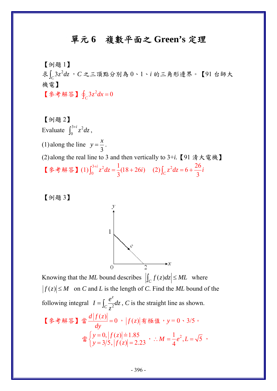## 單元 **6** 複數平面之 **Green's** 定理

【例題 1】

 $\pmb{\ddot{x}}$   $\int_{\mathcal{C}} 3z^2 dz$ ,  $C$  之三頂點分別為 0、1、*i* 的三角形邊界。【91 台師大 機電】

【参考解答】 $\oint_C 3z^2 dx = 0$ 

[
$$
\text{[$\theta$]}\{\mathbf{1}\}^{\mathbf{3}+i} z^2 dz,
$$

\n[1) along the line  $y = \frac{x}{3}$ .

\n[2) along the real line to 3 and then vertically to 3+i. [91,  $\frac{x}{3} \pm \frac{y}{3}$ ],

\n[ $\frac{x}{3} \neq \frac{x}{3}$ ],

\n[ $\frac{x}{3} \neq \frac{x}{3}$ ],

\n[1)  $\int_{0}^{3+i} z^2 dz = \frac{1}{3} (18 + 26i)$   (2)  $\int_{C} z^2 dz = 6 + \frac{26}{3}i$ 

【例題 3】



Knowing that the *ML* bound describes  $\left| \int_C f(z) dz \right| \leq ML$  where  $|f(z)| \leq M$  on *C* and *L* is the length of *C*. Find the *ML* bound of the following integral  $I = \int_C \frac{c}{z^2}$ *z*  $I = \int_C \frac{e^z}{z^2} dz$  $=\int_C \frac{e}{z^2} dz$ , *C* is the straight line as shown. 【參考解答】當 $\frac{d|f(z)|}{dz} = 0$ *dy*  $\frac{f(x)}{dy}$  = 0 , | *f*(*z*)| 有極值,y = 0、3/5。  $\frac{1}{\frac{3}{4}}\int y=0, |f(z)|=1.85$  $3/5, |f(z)| = 2.23$  $y = 0, |f(z)$  $\begin{cases} y = 0, |f(z)| = 1.85 \\ y = 3/5, |f(z)| = 2.23 \end{cases}$ ,  $\therefore M = \frac{1}{4}e^2$ ∴  $M = \frac{1}{4}e^2$ ,  $L = \sqrt{5}$ ,